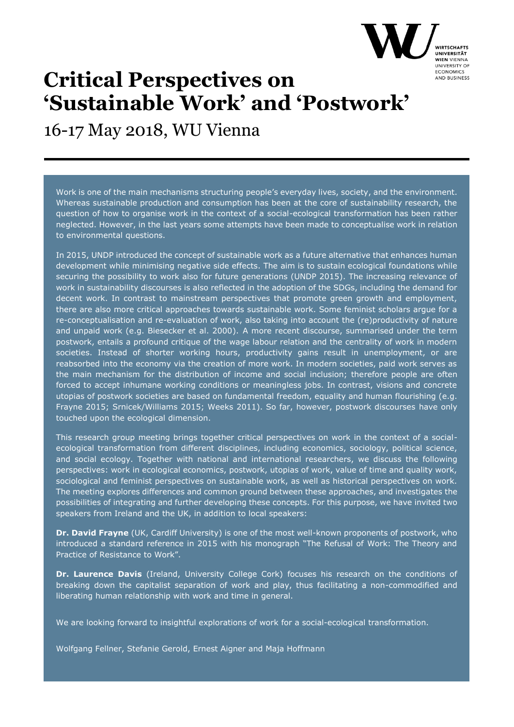

16-17 May 2018, WU Vienna

Work is one of the main mechanisms structuring people's everyday lives, society, and the environment. Whereas sustainable production and consumption has been at the core of sustainability research, the question of how to organise work in the context of a social-ecological transformation has been rather neglected. However, in the last years some attempts have been made to conceptualise work in relation to environmental questions.

In 2015, UNDP introduced the concept of sustainable work as a future alternative that enhances human development while minimising negative side effects. The aim is to sustain ecological foundations while securing the possibility to work also for future generations (UNDP 2015). The increasing relevance of work in sustainability discourses is also reflected in the adoption of the SDGs, including the demand for decent work. In contrast to mainstream perspectives that promote green growth and employment, there are also more critical approaches towards sustainable work. Some feminist scholars argue for a re-conceptualisation and re-evaluation of work, also taking into account the (re)productivity of nature and unpaid work (e.g. Biesecker et al. 2000). A more recent discourse, summarised under the term postwork, entails a profound critique of the wage labour relation and the centrality of work in modern societies. Instead of shorter working hours, productivity gains result in unemployment, or are reabsorbed into the economy via the creation of more work. In modern societies, paid work serves as the main mechanism for the distribution of income and social inclusion; therefore people are often forced to accept inhumane working conditions or meaningless jobs. In contrast, visions and concrete utopias of postwork societies are based on fundamental freedom, equality and human flourishing (e.g. Frayne 2015; Srnicek/Williams 2015; Weeks 2011). So far, however, postwork discourses have only touched upon the ecological dimension.

This research group meeting brings together critical perspectives on work in the context of a socialecological transformation from different disciplines, including economics, sociology, political science, and social ecology. Together with national and international researchers, we discuss the following perspectives: work in ecological economics, postwork, utopias of work, value of time and quality work, sociological and feminist perspectives on sustainable work, as well as historical perspectives on work. The meeting explores differences and common ground between these approaches, and investigates the possibilities of integrating and further developing these concepts. For this purpose, we have invited two speakers from Ireland and the UK, in addition to local speakers:

**Dr. David Frayne** (UK, Cardiff University) is one of the most well-known proponents of postwork, who introduced a standard reference in 2015 with his monograph "The Refusal of Work: The Theory and Practice of Resistance to Work".

**Dr. Laurence Davis** (Ireland, University College Cork) focuses his research on the conditions of breaking down the capitalist separation of work and play, thus facilitating a non-commodified and liberating human relationship with work and time in general.

We are looking forward to insightful explorations of work for a social-ecological transformation.

Wolfgang Fellner, Stefanie Gerold, Ernest Aigner and Maja Hoffmann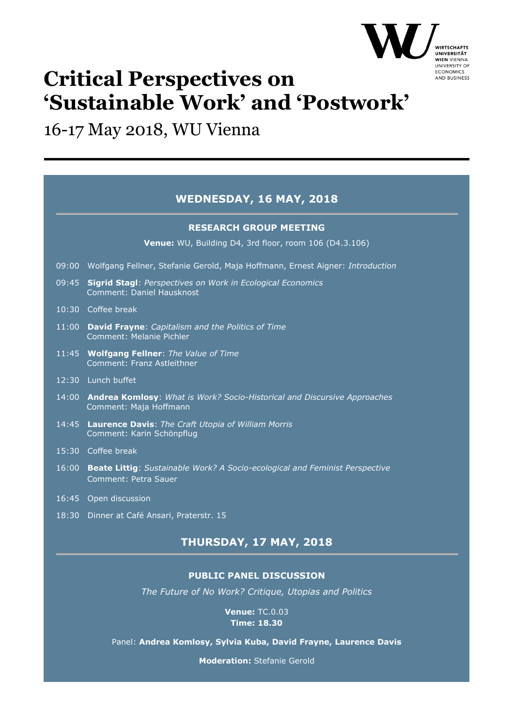

### 16-17 May 2018, WU Vienna

|       | <b>WEDNESDAY, 16 MAY, 2018</b>                                                                           |
|-------|----------------------------------------------------------------------------------------------------------|
|       | <b>RESEARCH GROUP MEETING</b>                                                                            |
|       | Venue: WU, Building D4, 3rd floor, room 106 (D4.3.106)                                                   |
|       | 09:00 Wolfgang Fellner, Stefanie Gerold, Maja Hoffmann, Ernest Aigner: Introduction                      |
| 09:45 | <b>Sigrid Stagl: Perspectives on Work in Ecological Economics</b><br>Comment: Daniel Hausknost           |
|       | 10:30 Coffee break                                                                                       |
|       | 11:00 David Frayne: Capitalism and the Politics of Time<br><b>Comment: Melanie Pichler</b>               |
|       | 11:45 Wolfgang Fellner: The Value of Time<br>Comment: Franz Astleithner                                  |
|       | 12:30 Lunch buffet                                                                                       |
|       | 14:00 Andrea Komlosy: What is Work? Socio-Historical and Discursive Approaches<br>Comment: Maja Hoffmann |
|       | 14:45 Laurence Davis: The Craft Utopia of William Morris<br>Comment: Karin Schönpflug                    |
|       | 15:30 Coffee break                                                                                       |
| 16:00 | Beate Littig: Sustainable Work? A Socio-ecological and Feminist Perspective<br>Comment: Petra Sauer      |
|       | 16:45 Open discussion                                                                                    |
|       | 18:30 Dinner at Café Ansari, Praterstr. 15                                                               |

### **THURSDAY, 17 MAY, 2018**

#### **PUBLIC PANEL DISCUSSION**

*The Future of No Work? Critique, Utopias and Politics*

**Venue:** TC.0.03 **Time: 18.30**

Panel: **Andrea Komlosy, Sylvia Kuba, David Frayne, Laurence Davis**

**Moderation:** Stefanie Gerold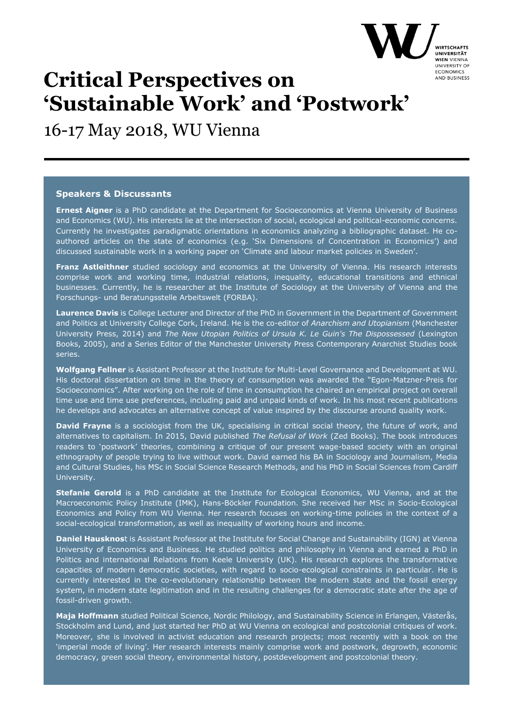

16-17 May 2018, WU Vienna

#### **Speakers & Discussants**

**Ernest Aigner** is a PhD candidate at the Department for Socioeconomics at Vienna University of Business and Economics (WU). His interests lie at the intersection of social, ecological and political-economic concerns. Currently he investigates paradigmatic orientations in economics analyzing a bibliographic dataset. He coauthored articles on the state of economics (e.g. 'Six Dimensions of Concentration in Economics') and discussed sustainable work in a working paper on 'Climate and labour market policies in Sweden'.

**Franz Astleithner** studied sociology and economics at the University of Vienna. His research interests comprise work and working time, industrial relations, inequality, educational transitions and ethnical businesses. Currently, he is researcher at the Institute of Sociology at the University of Vienna and the Forschungs- und Beratungsstelle Arbeitswelt (FORBA).

**Laurence Davis** is College Lecturer and Director of the PhD in Government in the Department of Government and Politics at University College Cork, Ireland. He is the co-editor of *Anarchism and Utopianism* (Manchester University Press, 2014) and *The New Utopian Politics of Ursula K. Le Guin's The Dispossessed* (Lexington Books, 2005), and a Series Editor of the Manchester University Press Contemporary Anarchist Studies book series.

**Wolfgang Fellner** is Assistant Professor at the Institute for Multi-Level Governance and Development at WU. His doctoral dissertation on time in the theory of consumption was awarded the "Egon-Matzner-Preis for Socioeconomics". After working on the role of time in consumption he chaired an empirical project on overall time use and time use preferences, including paid and unpaid kinds of work. In his most recent publications he develops and advocates an alternative concept of value inspired by the discourse around quality work.

**David Frayne** is a sociologist from the UK, specialising in critical social theory, the future of work, and alternatives to capitalism. In 2015, David published *The Refusal of Work* (Zed Books). The book introduces readers to 'postwork' theories, combining a critique of our present wage-based society with an original ethnography of people trying to live without work. David earned his BA in Sociology and Journalism, Media and Cultural Studies, his MSc in Social Science Research Methods, and his PhD in Social Sciences from Cardiff University.

**Stefanie Gerold** is a PhD candidate at the Institute for Ecological Economics, WU Vienna, and at the Macroeconomic Policy Institute (IMK), Hans-Böckler Foundation. She received her MSc in Socio-Ecological Economics and Policy from WU Vienna. Her research focuses on working-time policies in the context of a social-ecological transformation, as well as inequality of working hours and income.

**Daniel Hausknos**t is Assistant Professor at the Institute for Social Change and Sustainability (IGN) at Vienna University of Economics and Business. He studied politics and philosophy in Vienna and earned a PhD in Politics and international Relations from Keele University (UK). His research explores the transformative capacities of modern democratic societies, with regard to socio-ecological constraints in particular. He is currently interested in the co-evolutionary relationship between the modern state and the fossil energy system, in modern state legitimation and in the resulting challenges for a democratic state after the age of fossil-driven growth.

**Maja Hoffmann** studied Political Science, Nordic Philology, and Sustainability Science in Erlangen, Västerås, Stockholm and Lund, and just started her PhD at WU Vienna on ecological and postcolonial critiques of work. Moreover, she is involved in activist education and research projects; most recently with a book on the 'imperial mode of living'. Her research interests mainly comprise work and postwork, degrowth, economic democracy, green social theory, environmental history, postdevelopment and postcolonial theory.